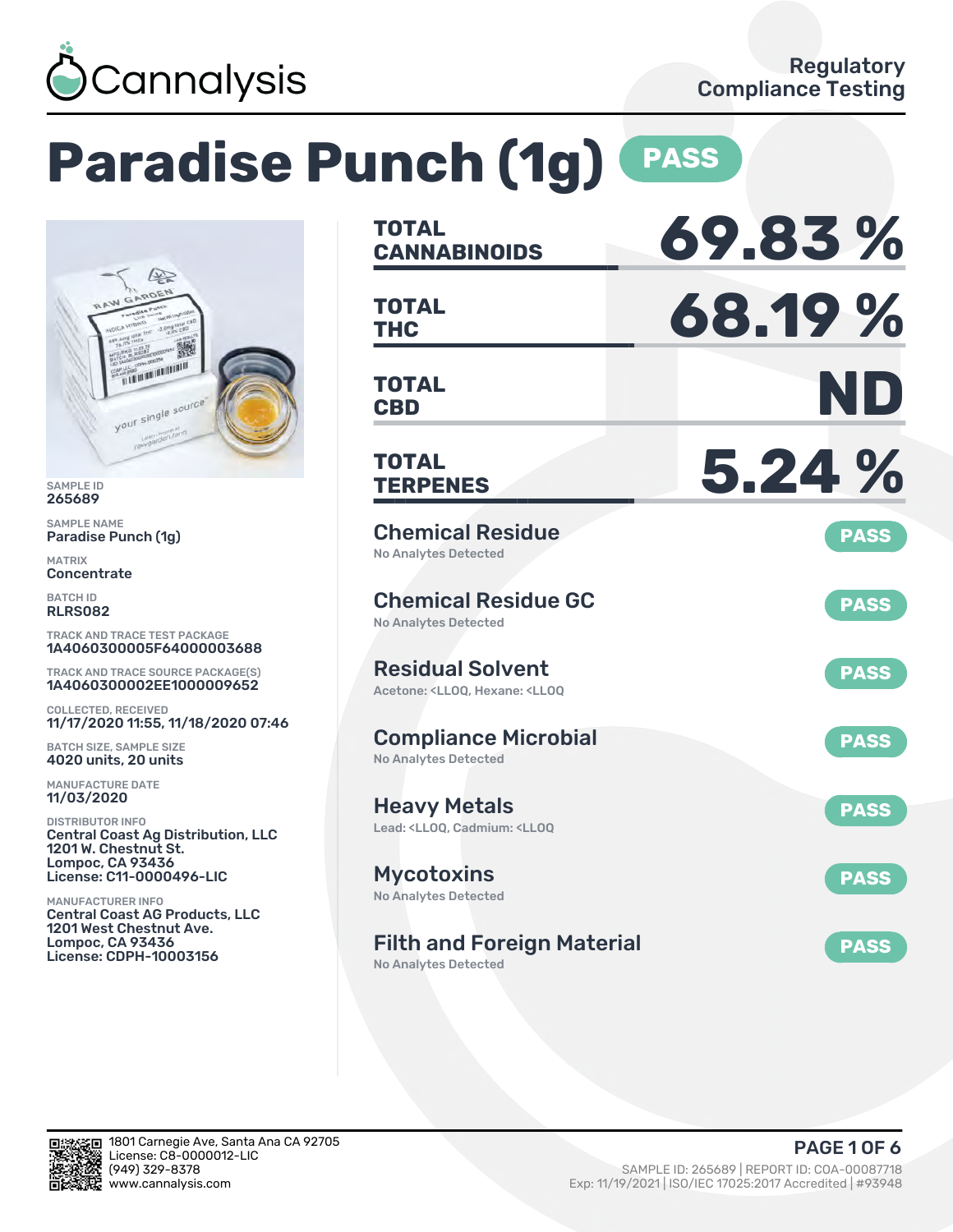

# **Paradise Punch (1g) PASS**



SAMPLE ID 265689

SAMPLE NAME Paradise Punch (1g)

MATRIX **Concentrate** 

BATCH ID RLRS082

TRACK AND TRACE TEST PACKAGE 1A4060300005F64000003688

TRACK AND TRACE SOURCE PACKAGE(S) 1A4060300002EE1000009652

COLLECTED, RECEIVED 11/17/2020 11:55, 11/18/2020 07:46

BATCH SIZE, SAMPLE SIZE 4020 units, 20 units

MANUFACTURE DATE 11/03/2020

DISTRIBUTOR INFO Central Coast Ag Distribution, LLC 1201 W. Chestnut St. Lompoc, CA 93436 License: C11-0000496-LIC

MANUFACTURER INFO Central Coast AG Products, LLC 1201 West Chestnut Ave. Lompoc, CA 93436 License: CDPH-10003156

| <b>TOTAL</b><br><b>CANNABINOIDS</b>                                                                | 69.83%      |
|----------------------------------------------------------------------------------------------------|-------------|
| <b>TOTAL</b><br><b>THC</b>                                                                         | 68.19%      |
| TOTAL<br><b>CBD</b>                                                                                | ND          |
| <b>TOTAL</b><br><b>TERPENES</b>                                                                    | 5.24 %      |
| <b>Chemical Residue</b><br><b>No Analytes Detected</b>                                             | <b>PASS</b> |
| <b>Chemical Residue GC</b><br><b>No Analytes Detected</b>                                          | <b>PASS</b> |
| <b>Residual Solvent</b><br>Acetone: <ll00. <ll00<="" hexane:="" td=""><td><b>PASS</b></td></ll00.> | <b>PASS</b> |
| <b>Compliance Microbial</b><br><b>No Analytes Detected</b>                                         | <b>PASS</b> |
| <b>Heavy Metals</b><br>Lead: <lloq, <lloq<="" cadmium:="" td=""><td><b>PASS</b></td></lloq,>       | <b>PASS</b> |
| <b>Mycotoxins</b><br>No Analytes Detected                                                          | <b>PASS</b> |
| <b>Filth and Foreign Material</b><br>No Analytes Detected                                          | <b>PASS</b> |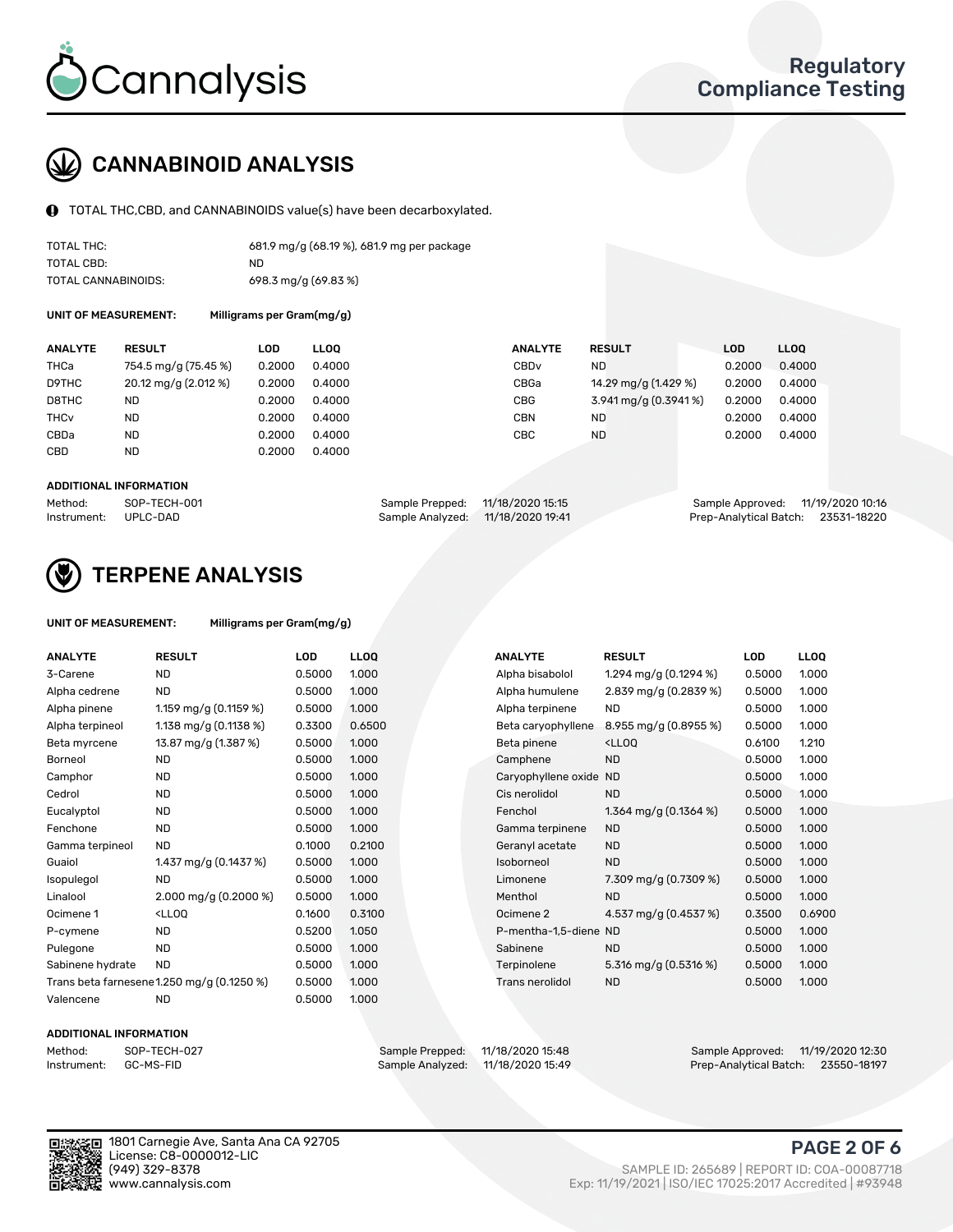

### CANNABINOID ANALYSIS

TOTAL THC,CBD, and CANNABINOIDS value(s) have been decarboxylated.

| TOTAL THC:          | 681.9 mg/g (68.19 %), 681.9 mg per package |
|---------------------|--------------------------------------------|
| TOTAL CBD:          | ND.                                        |
| TOTAL CANNABINOIDS: | 698.3 mg/g (69.83 %)                       |

UNIT OF MEASUREMENT: Milligrams per Gram(mg/g)

| <b>ANALYTE</b>         | <b>RESULT</b>        | LOD    | <b>LLOO</b> | <b>ANALYTE</b>   | <b>RESULT</b>        | <b>LOD</b> | LL <sub>00</sub> |
|------------------------|----------------------|--------|-------------|------------------|----------------------|------------|------------------|
| THCa                   | 754.5 mg/g (75.45 %) | 0.2000 | 0.4000      | CBD <sub>v</sub> | <b>ND</b>            | 0.2000     | 0.4000           |
| D9THC                  | 20.12 mg/g (2.012 %) | 0.2000 | 0.4000      | CBGa             | 14.29 mg/g (1.429 %) | 0.2000     | 0.4000           |
| D8THC                  | ND                   | 0.2000 | 0.4000      | <b>CBG</b>       | 3.941 mg/g (0.3941%) | 0.2000     | 0.4000           |
| <b>THC<sub>v</sub></b> | <b>ND</b>            | 0.2000 | 0.4000      | <b>CBN</b>       | <b>ND</b>            | 0.2000     | 0.4000           |
| CBDa                   | ND                   | 0.2000 | 0.4000      | CBC              | <b>ND</b>            | 0.2000     | 0.4000           |
| <b>CBD</b>             | <b>ND</b>            | 0.2000 | 0.4000      |                  |                      |            |                  |
|                        |                      |        |             |                  |                      |            |                  |

#### ADDITIONAL INFORMATION

| Method:              | SOP-TECH-001 | Sample Prepped: 11/18/2020 15:15  | Sample Approved: 11/19/2020 10:16  |  |
|----------------------|--------------|-----------------------------------|------------------------------------|--|
| Instrument: UPLC-DAD |              | Sample Analyzed: 11/18/2020 19:41 | Prep-Analytical Batch: 23531-18220 |  |



### TERPENE ANALYSIS

| UNIT OF MEASUREMENT: | Milligrams per Gram(mg/g) |
|----------------------|---------------------------|
|----------------------|---------------------------|

| <b>ANALYTE</b>   | <b>RESULT</b>                                                                                                                     | <b>LOD</b> | <b>LLOQ</b> | <b>ANALYTE</b>         | <b>RESULT</b>                                      | <b>LOD</b> | <b>LLOQ</b> |
|------------------|-----------------------------------------------------------------------------------------------------------------------------------|------------|-------------|------------------------|----------------------------------------------------|------------|-------------|
| 3-Carene         | ND.                                                                                                                               | 0.5000     | 1.000       | Alpha bisabolol        | 1.294 mg/g (0.1294 %)                              | 0.5000     | 1.000       |
| Alpha cedrene    | <b>ND</b>                                                                                                                         | 0.5000     | 1.000       | Alpha humulene         | 2.839 mg/g (0.2839 %)                              | 0.5000     | 1.000       |
| Alpha pinene     | 1.159 mg/g $(0.1159 \%)$                                                                                                          | 0.5000     | 1.000       | Alpha terpinene        | <b>ND</b>                                          | 0.5000     | 1.000       |
| Alpha terpineol  | 1.138 mg/g $(0.1138%)$                                                                                                            | 0.3300     | 0.6500      | Beta caryophyllene     | 8.955 mg/g $(0.8955\%)$                            | 0.5000     | 1.000       |
| Beta myrcene     | 13.87 mg/g (1.387 %)                                                                                                              | 0.5000     | 1.000       | Beta pinene            | <lloq< td=""><td>0.6100</td><td>1.210</td></lloq<> | 0.6100     | 1.210       |
| <b>Borneol</b>   | <b>ND</b>                                                                                                                         | 0.5000     | 1.000       | Camphene               | <b>ND</b>                                          | 0.5000     | 1.000       |
| Camphor          | <b>ND</b>                                                                                                                         | 0.5000     | 1.000       | Caryophyllene oxide ND |                                                    | 0.5000     | 1.000       |
| Cedrol           | <b>ND</b>                                                                                                                         | 0.5000     | 1.000       | Cis nerolidol          | <b>ND</b>                                          | 0.5000     | 1.000       |
| Eucalyptol       | <b>ND</b>                                                                                                                         | 0.5000     | 1.000       | Fenchol                | 1.364 mg/g $(0.1364\%)$                            | 0.5000     | 1.000       |
| Fenchone         | <b>ND</b>                                                                                                                         | 0.5000     | 1.000       | Gamma terpinene        | <b>ND</b>                                          | 0.5000     | 1.000       |
| Gamma terpineol  | <b>ND</b>                                                                                                                         | 0.1000     | 0.2100      | Geranyl acetate        | <b>ND</b>                                          | 0.5000     | 1.000       |
| Guaiol           | 1.437 mg/g (0.1437 %)                                                                                                             | 0.5000     | 1.000       | Isoborneol             | <b>ND</b>                                          | 0.5000     | 1.000       |
| Isopulegol       | <b>ND</b>                                                                                                                         | 0.5000     | 1.000       | Limonene               | 7.309 mg/g (0.7309 %)                              | 0.5000     | 1.000       |
| Linalool         | $2.000 \,\mathrm{mq/q}$ (0.2000 %)                                                                                                | 0.5000     | 1.000       | Menthol                | <b>ND</b>                                          | 0.5000     | 1.000       |
| Ocimene 1        | <ll0q< td=""><td>0.1600</td><td>0.3100</td><td>Ocimene 2</td><td>4.537 mg/g (0.4537 %)</td><td>0.3500</td><td>0.6900</td></ll0q<> | 0.1600     | 0.3100      | Ocimene 2              | 4.537 mg/g (0.4537 %)                              | 0.3500     | 0.6900      |
| P-cymene         | <b>ND</b>                                                                                                                         | 0.5200     | 1.050       | P-mentha-1,5-diene ND  |                                                    | 0.5000     | 1.000       |
| Pulegone         | <b>ND</b>                                                                                                                         | 0.5000     | 1.000       | Sabinene               | <b>ND</b>                                          | 0.5000     | 1.000       |
| Sabinene hydrate | <b>ND</b>                                                                                                                         | 0.5000     | 1.000       | Terpinolene            | 5.316 mg/g (0.5316 %)                              | 0.5000     | 1.000       |
|                  | Trans beta farnesene 1.250 mg/g (0.1250 %)                                                                                        | 0.5000     | 1.000       | Trans nerolidol        | <b>ND</b>                                          | 0.5000     | 1.000       |
| Valencene        | <b>ND</b>                                                                                                                         | 0.5000     | 1.000       |                        |                                                    |            |             |

#### ADDITIONAL INFORMATION

| Method:     | SOP-TECH  |
|-------------|-----------|
| Instrument: | GC-MS-FII |

Method: SOP-TECH-027 Sample Prepped: 11/18/2020 15:48 Sample Approved: 11/19/2020 12:30 Prep-Analytical Batch: 23550-18197

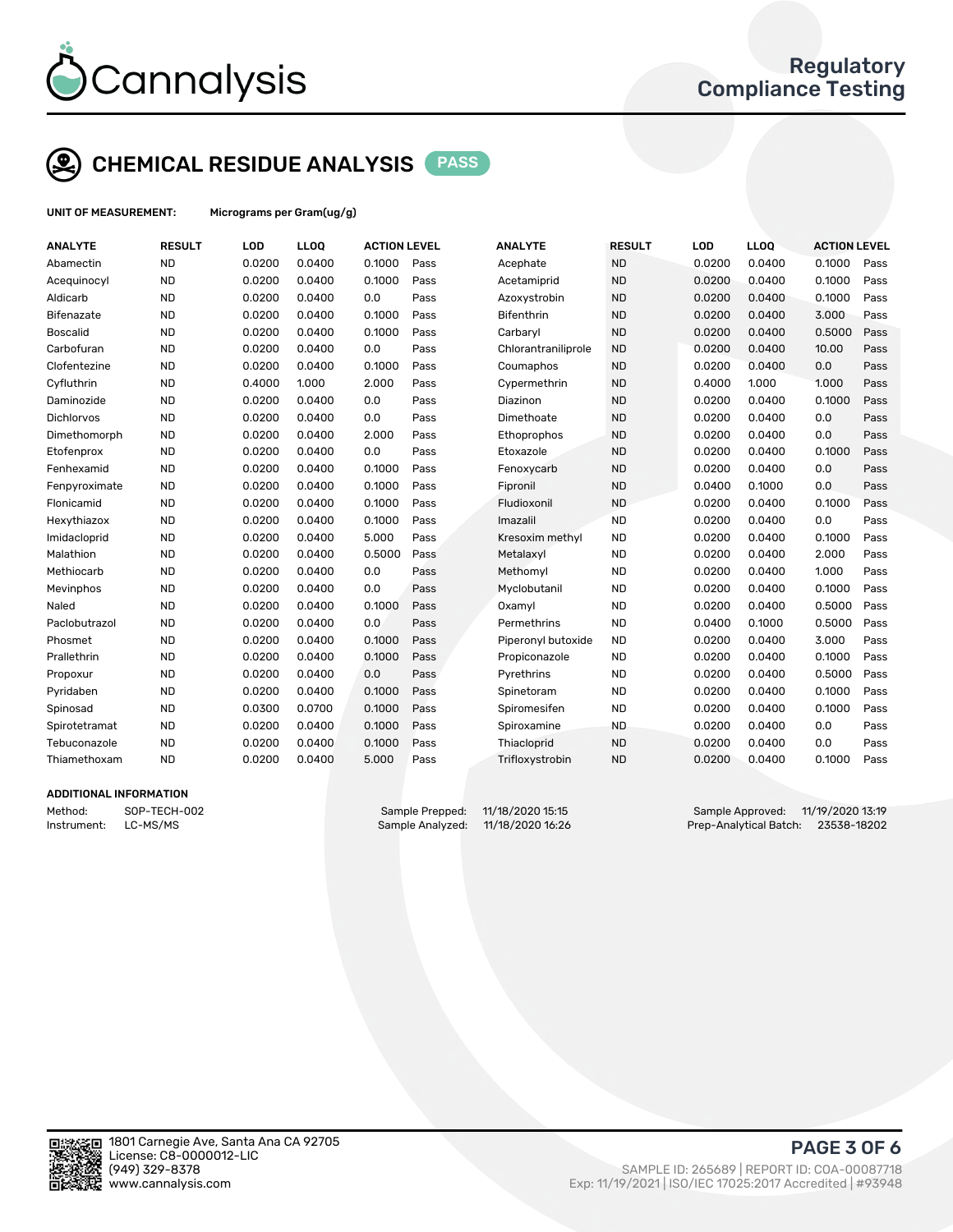

## CHEMICAL RESIDUE ANALYSIS PASS

UNIT OF MEASUREMENT: Micrograms per Gram(ug/g)

| <b>ND</b><br>0.0200<br>0.0400<br>0.1000<br>Pass<br><b>ND</b><br>0.0200<br>0.0400<br>0.1000<br>Acephate<br>Abamectin<br><b>ND</b><br><b>ND</b><br>0.0200<br>0.0400<br>0.1000<br>0.0200<br>0.0400<br>0.1000<br>Acequinocyl<br>Pass<br>Acetamiprid<br><b>ND</b><br>0.0200<br>0.0<br><b>ND</b><br>0.0400<br>0.1000<br>Aldicarb<br>0.0400<br>Pass<br>Azoxystrobin<br>0.0200<br><b>ND</b><br>0.0200<br>0.1000<br><b>ND</b><br>0.0400<br>3.000<br>0.0400<br>Pass<br><b>Bifenthrin</b><br>0.0200<br>Bifenazate<br><b>Boscalid</b><br><b>ND</b><br>0.0200<br>0.1000<br><b>ND</b><br>0.5000<br>0.0400<br>Pass<br>Carbaryl<br>0.0200<br>0.0400<br><b>ND</b><br>0.0200<br>0.0<br><b>ND</b><br>10.00<br>Carbofuran<br>0.0400<br>Pass<br>0.0200<br>0.0400<br>Chlorantraniliprole<br><b>ND</b><br>0.0200<br>0.1000<br><b>ND</b><br>0.0200<br>0.0400<br>0.0<br>Clofentezine<br>0.0400<br>Pass<br>Coumaphos<br>Cyfluthrin<br><b>ND</b><br>0.4000<br><b>ND</b><br>1.000<br>1.000<br>1.000<br>2.000<br>Pass<br>Cypermethrin<br>0.4000<br><b>ND</b><br>0.0200<br>0.0<br><b>ND</b><br>0.0400<br>0.1000<br>Daminozide<br>0.0400<br>Pass<br>0.0200<br>Diazinon<br><b>ND</b><br>0.0200<br>0.0<br><b>ND</b><br>0.0400<br><b>Dichlorvos</b><br>0.0400<br>Pass<br>Dimethoate<br>0.0200<br>0.0<br><b>ND</b><br>0.0200<br>0.0400<br><b>ND</b><br>0.0<br>Dimethomorph<br>2.000<br>Pass<br>Ethoprophos<br>0.0200<br>0.0400<br><b>ND</b><br>0.0200<br>0.0<br><b>ND</b><br>0.1000<br>0.0400<br>Pass<br>Etoxazole<br>0.0200<br>0.0400<br>Etofenprox<br><b>ND</b><br>0.0200<br>0.1000<br><b>ND</b><br>0.0200<br>0.0400<br>0.0<br>Fenhexamid<br>0.0400<br>Pass<br>Fenoxycarb<br><b>ND</b><br>0.0200<br>0.1000<br><b>ND</b><br>0.0400<br>0.0<br>Fenpyroximate<br>0.0400<br>Pass<br>Fipronil<br>0.1000<br><b>ND</b><br>0.0200<br>0.1000<br><b>ND</b><br>0.1000<br>Flonicamid<br>0.0400<br>Pass<br>Fludioxonil<br>0.0200<br>0.0400<br><b>ND</b><br>0.0200<br>0.1000<br><b>ND</b><br>0.0200<br>0.0400<br>0.0<br>Hexythiazox<br>0.0400<br>Pass<br>Imazalil<br><b>ND</b><br>0.0200<br>0.0400<br>5.000<br><b>ND</b><br>Imidacloprid<br>Pass<br>Kresoxim methyl<br>0.0200<br>0.0400<br>0.1000<br><b>ND</b><br>0.0200<br>0.5000<br><b>ND</b><br>0.0400<br>2.000<br>Malathion<br>0.0400<br>Pass<br>Metalaxyl<br>0.0200<br><b>ND</b><br>0.0200<br>0.0<br><b>ND</b><br>0.0200<br>0.0400<br>1.000<br>Methiocarb<br>0.0400<br>Pass<br>Methomyl<br><b>ND</b><br>0.0200<br>0.0<br><b>ND</b><br>0.0200<br>0.1000<br>Mevinphos<br>0.0400<br>Pass<br>Myclobutanil<br>0.0400<br><b>ND</b><br>0.0200<br><b>ND</b><br>0.5000<br>Naled<br>0.0400<br>0.1000<br>Pass<br>0.0200<br>0.0400<br>Oxamyl<br><b>ND</b><br>0.0200<br>0.0<br><b>ND</b><br>0.1000<br>0.5000<br>Paclobutrazol<br>0.0400<br>Pass<br>Permethrins<br>0.0400<br><b>ND</b><br>0.0200<br>0.1000<br>Pass<br><b>ND</b><br>3.000<br>Phosmet<br>0.0400<br>Piperonyl butoxide<br>0.0200<br>0.0400<br><b>ND</b><br>0.0200<br>0.1000<br><b>ND</b><br>0.1000<br>Prallethrin<br>0.0400<br>Pass<br>0.0200<br>0.0400<br>Propiconazole<br><b>ND</b><br>0.0200<br>0.0400<br>0.0<br>Pass<br><b>ND</b><br>0.0200<br>0.0400<br>0.5000<br>Pyrethrins<br>Propoxur<br><b>ND</b><br>0.0200<br>0.0400<br>0.1000<br><b>ND</b><br>0.0200<br>0.1000<br>Pyridaben<br>Pass<br>Spinetoram<br>0.0400<br><b>ND</b><br>0.0300<br>0.0700<br>0.1000<br>Pass<br><b>ND</b><br>0.0200<br>0.0400<br>0.1000<br>Spiromesifen<br>Spinosad<br><b>ND</b><br>0.0200<br>0.1000<br><b>ND</b><br>Spirotetramat<br>0.0400<br>Pass<br>0.0200<br>0.0400<br>0.0<br>Spiroxamine<br><b>ND</b><br>0.0200<br>0.1000<br><b>ND</b><br>0.0<br>Tebuconazole<br>0.0400<br>Pass<br>Thiacloprid<br>0.0200<br>0.0400<br><b>ND</b><br>0.0200<br>5.000<br><b>ND</b><br>0.0200<br>0.1000<br>Thiamethoxam<br>0.0400<br>Pass<br>Trifloxystrobin<br>0.0400 | <b>ANALYTE</b> | <b>RESULT</b> | LOD | LLOQ | <b>ACTION LEVEL</b> | <b>ANALYTE</b> | <b>RESULT</b> | LOD | <b>LLOQ</b> | <b>ACTION LEVEL</b> |      |
|-------------------------------------------------------------------------------------------------------------------------------------------------------------------------------------------------------------------------------------------------------------------------------------------------------------------------------------------------------------------------------------------------------------------------------------------------------------------------------------------------------------------------------------------------------------------------------------------------------------------------------------------------------------------------------------------------------------------------------------------------------------------------------------------------------------------------------------------------------------------------------------------------------------------------------------------------------------------------------------------------------------------------------------------------------------------------------------------------------------------------------------------------------------------------------------------------------------------------------------------------------------------------------------------------------------------------------------------------------------------------------------------------------------------------------------------------------------------------------------------------------------------------------------------------------------------------------------------------------------------------------------------------------------------------------------------------------------------------------------------------------------------------------------------------------------------------------------------------------------------------------------------------------------------------------------------------------------------------------------------------------------------------------------------------------------------------------------------------------------------------------------------------------------------------------------------------------------------------------------------------------------------------------------------------------------------------------------------------------------------------------------------------------------------------------------------------------------------------------------------------------------------------------------------------------------------------------------------------------------------------------------------------------------------------------------------------------------------------------------------------------------------------------------------------------------------------------------------------------------------------------------------------------------------------------------------------------------------------------------------------------------------------------------------------------------------------------------------------------------------------------------------------------------------------------------------------------------------------------------------------------------------------------------------------------------------------------------------------------------------------------------------------------------------------------------------------------------------------------------------------------------------------------------------------------------------------------------------------------------------------------------------------------------------------------------------------------------------------------------------------------------------------------------------|----------------|---------------|-----|------|---------------------|----------------|---------------|-----|-------------|---------------------|------|
|                                                                                                                                                                                                                                                                                                                                                                                                                                                                                                                                                                                                                                                                                                                                                                                                                                                                                                                                                                                                                                                                                                                                                                                                                                                                                                                                                                                                                                                                                                                                                                                                                                                                                                                                                                                                                                                                                                                                                                                                                                                                                                                                                                                                                                                                                                                                                                                                                                                                                                                                                                                                                                                                                                                                                                                                                                                                                                                                                                                                                                                                                                                                                                                                                                                                                                                                                                                                                                                                                                                                                                                                                                                                                                                                                                                           |                |               |     |      |                     |                |               |     |             |                     | Pass |
|                                                                                                                                                                                                                                                                                                                                                                                                                                                                                                                                                                                                                                                                                                                                                                                                                                                                                                                                                                                                                                                                                                                                                                                                                                                                                                                                                                                                                                                                                                                                                                                                                                                                                                                                                                                                                                                                                                                                                                                                                                                                                                                                                                                                                                                                                                                                                                                                                                                                                                                                                                                                                                                                                                                                                                                                                                                                                                                                                                                                                                                                                                                                                                                                                                                                                                                                                                                                                                                                                                                                                                                                                                                                                                                                                                                           |                |               |     |      |                     |                |               |     |             |                     | Pass |
|                                                                                                                                                                                                                                                                                                                                                                                                                                                                                                                                                                                                                                                                                                                                                                                                                                                                                                                                                                                                                                                                                                                                                                                                                                                                                                                                                                                                                                                                                                                                                                                                                                                                                                                                                                                                                                                                                                                                                                                                                                                                                                                                                                                                                                                                                                                                                                                                                                                                                                                                                                                                                                                                                                                                                                                                                                                                                                                                                                                                                                                                                                                                                                                                                                                                                                                                                                                                                                                                                                                                                                                                                                                                                                                                                                                           |                |               |     |      |                     |                |               |     |             |                     | Pass |
|                                                                                                                                                                                                                                                                                                                                                                                                                                                                                                                                                                                                                                                                                                                                                                                                                                                                                                                                                                                                                                                                                                                                                                                                                                                                                                                                                                                                                                                                                                                                                                                                                                                                                                                                                                                                                                                                                                                                                                                                                                                                                                                                                                                                                                                                                                                                                                                                                                                                                                                                                                                                                                                                                                                                                                                                                                                                                                                                                                                                                                                                                                                                                                                                                                                                                                                                                                                                                                                                                                                                                                                                                                                                                                                                                                                           |                |               |     |      |                     |                |               |     |             |                     | Pass |
|                                                                                                                                                                                                                                                                                                                                                                                                                                                                                                                                                                                                                                                                                                                                                                                                                                                                                                                                                                                                                                                                                                                                                                                                                                                                                                                                                                                                                                                                                                                                                                                                                                                                                                                                                                                                                                                                                                                                                                                                                                                                                                                                                                                                                                                                                                                                                                                                                                                                                                                                                                                                                                                                                                                                                                                                                                                                                                                                                                                                                                                                                                                                                                                                                                                                                                                                                                                                                                                                                                                                                                                                                                                                                                                                                                                           |                |               |     |      |                     |                |               |     |             |                     | Pass |
|                                                                                                                                                                                                                                                                                                                                                                                                                                                                                                                                                                                                                                                                                                                                                                                                                                                                                                                                                                                                                                                                                                                                                                                                                                                                                                                                                                                                                                                                                                                                                                                                                                                                                                                                                                                                                                                                                                                                                                                                                                                                                                                                                                                                                                                                                                                                                                                                                                                                                                                                                                                                                                                                                                                                                                                                                                                                                                                                                                                                                                                                                                                                                                                                                                                                                                                                                                                                                                                                                                                                                                                                                                                                                                                                                                                           |                |               |     |      |                     |                |               |     |             |                     | Pass |
|                                                                                                                                                                                                                                                                                                                                                                                                                                                                                                                                                                                                                                                                                                                                                                                                                                                                                                                                                                                                                                                                                                                                                                                                                                                                                                                                                                                                                                                                                                                                                                                                                                                                                                                                                                                                                                                                                                                                                                                                                                                                                                                                                                                                                                                                                                                                                                                                                                                                                                                                                                                                                                                                                                                                                                                                                                                                                                                                                                                                                                                                                                                                                                                                                                                                                                                                                                                                                                                                                                                                                                                                                                                                                                                                                                                           |                |               |     |      |                     |                |               |     |             |                     | Pass |
|                                                                                                                                                                                                                                                                                                                                                                                                                                                                                                                                                                                                                                                                                                                                                                                                                                                                                                                                                                                                                                                                                                                                                                                                                                                                                                                                                                                                                                                                                                                                                                                                                                                                                                                                                                                                                                                                                                                                                                                                                                                                                                                                                                                                                                                                                                                                                                                                                                                                                                                                                                                                                                                                                                                                                                                                                                                                                                                                                                                                                                                                                                                                                                                                                                                                                                                                                                                                                                                                                                                                                                                                                                                                                                                                                                                           |                |               |     |      |                     |                |               |     |             |                     | Pass |
|                                                                                                                                                                                                                                                                                                                                                                                                                                                                                                                                                                                                                                                                                                                                                                                                                                                                                                                                                                                                                                                                                                                                                                                                                                                                                                                                                                                                                                                                                                                                                                                                                                                                                                                                                                                                                                                                                                                                                                                                                                                                                                                                                                                                                                                                                                                                                                                                                                                                                                                                                                                                                                                                                                                                                                                                                                                                                                                                                                                                                                                                                                                                                                                                                                                                                                                                                                                                                                                                                                                                                                                                                                                                                                                                                                                           |                |               |     |      |                     |                |               |     |             |                     | Pass |
|                                                                                                                                                                                                                                                                                                                                                                                                                                                                                                                                                                                                                                                                                                                                                                                                                                                                                                                                                                                                                                                                                                                                                                                                                                                                                                                                                                                                                                                                                                                                                                                                                                                                                                                                                                                                                                                                                                                                                                                                                                                                                                                                                                                                                                                                                                                                                                                                                                                                                                                                                                                                                                                                                                                                                                                                                                                                                                                                                                                                                                                                                                                                                                                                                                                                                                                                                                                                                                                                                                                                                                                                                                                                                                                                                                                           |                |               |     |      |                     |                |               |     |             |                     | Pass |
|                                                                                                                                                                                                                                                                                                                                                                                                                                                                                                                                                                                                                                                                                                                                                                                                                                                                                                                                                                                                                                                                                                                                                                                                                                                                                                                                                                                                                                                                                                                                                                                                                                                                                                                                                                                                                                                                                                                                                                                                                                                                                                                                                                                                                                                                                                                                                                                                                                                                                                                                                                                                                                                                                                                                                                                                                                                                                                                                                                                                                                                                                                                                                                                                                                                                                                                                                                                                                                                                                                                                                                                                                                                                                                                                                                                           |                |               |     |      |                     |                |               |     |             |                     | Pass |
|                                                                                                                                                                                                                                                                                                                                                                                                                                                                                                                                                                                                                                                                                                                                                                                                                                                                                                                                                                                                                                                                                                                                                                                                                                                                                                                                                                                                                                                                                                                                                                                                                                                                                                                                                                                                                                                                                                                                                                                                                                                                                                                                                                                                                                                                                                                                                                                                                                                                                                                                                                                                                                                                                                                                                                                                                                                                                                                                                                                                                                                                                                                                                                                                                                                                                                                                                                                                                                                                                                                                                                                                                                                                                                                                                                                           |                |               |     |      |                     |                |               |     |             |                     | Pass |
|                                                                                                                                                                                                                                                                                                                                                                                                                                                                                                                                                                                                                                                                                                                                                                                                                                                                                                                                                                                                                                                                                                                                                                                                                                                                                                                                                                                                                                                                                                                                                                                                                                                                                                                                                                                                                                                                                                                                                                                                                                                                                                                                                                                                                                                                                                                                                                                                                                                                                                                                                                                                                                                                                                                                                                                                                                                                                                                                                                                                                                                                                                                                                                                                                                                                                                                                                                                                                                                                                                                                                                                                                                                                                                                                                                                           |                |               |     |      |                     |                |               |     |             |                     | Pass |
|                                                                                                                                                                                                                                                                                                                                                                                                                                                                                                                                                                                                                                                                                                                                                                                                                                                                                                                                                                                                                                                                                                                                                                                                                                                                                                                                                                                                                                                                                                                                                                                                                                                                                                                                                                                                                                                                                                                                                                                                                                                                                                                                                                                                                                                                                                                                                                                                                                                                                                                                                                                                                                                                                                                                                                                                                                                                                                                                                                                                                                                                                                                                                                                                                                                                                                                                                                                                                                                                                                                                                                                                                                                                                                                                                                                           |                |               |     |      |                     |                |               |     |             |                     | Pass |
|                                                                                                                                                                                                                                                                                                                                                                                                                                                                                                                                                                                                                                                                                                                                                                                                                                                                                                                                                                                                                                                                                                                                                                                                                                                                                                                                                                                                                                                                                                                                                                                                                                                                                                                                                                                                                                                                                                                                                                                                                                                                                                                                                                                                                                                                                                                                                                                                                                                                                                                                                                                                                                                                                                                                                                                                                                                                                                                                                                                                                                                                                                                                                                                                                                                                                                                                                                                                                                                                                                                                                                                                                                                                                                                                                                                           |                |               |     |      |                     |                |               |     |             |                     | Pass |
|                                                                                                                                                                                                                                                                                                                                                                                                                                                                                                                                                                                                                                                                                                                                                                                                                                                                                                                                                                                                                                                                                                                                                                                                                                                                                                                                                                                                                                                                                                                                                                                                                                                                                                                                                                                                                                                                                                                                                                                                                                                                                                                                                                                                                                                                                                                                                                                                                                                                                                                                                                                                                                                                                                                                                                                                                                                                                                                                                                                                                                                                                                                                                                                                                                                                                                                                                                                                                                                                                                                                                                                                                                                                                                                                                                                           |                |               |     |      |                     |                |               |     |             |                     | Pass |
|                                                                                                                                                                                                                                                                                                                                                                                                                                                                                                                                                                                                                                                                                                                                                                                                                                                                                                                                                                                                                                                                                                                                                                                                                                                                                                                                                                                                                                                                                                                                                                                                                                                                                                                                                                                                                                                                                                                                                                                                                                                                                                                                                                                                                                                                                                                                                                                                                                                                                                                                                                                                                                                                                                                                                                                                                                                                                                                                                                                                                                                                                                                                                                                                                                                                                                                                                                                                                                                                                                                                                                                                                                                                                                                                                                                           |                |               |     |      |                     |                |               |     |             |                     | Pass |
|                                                                                                                                                                                                                                                                                                                                                                                                                                                                                                                                                                                                                                                                                                                                                                                                                                                                                                                                                                                                                                                                                                                                                                                                                                                                                                                                                                                                                                                                                                                                                                                                                                                                                                                                                                                                                                                                                                                                                                                                                                                                                                                                                                                                                                                                                                                                                                                                                                                                                                                                                                                                                                                                                                                                                                                                                                                                                                                                                                                                                                                                                                                                                                                                                                                                                                                                                                                                                                                                                                                                                                                                                                                                                                                                                                                           |                |               |     |      |                     |                |               |     |             |                     | Pass |
|                                                                                                                                                                                                                                                                                                                                                                                                                                                                                                                                                                                                                                                                                                                                                                                                                                                                                                                                                                                                                                                                                                                                                                                                                                                                                                                                                                                                                                                                                                                                                                                                                                                                                                                                                                                                                                                                                                                                                                                                                                                                                                                                                                                                                                                                                                                                                                                                                                                                                                                                                                                                                                                                                                                                                                                                                                                                                                                                                                                                                                                                                                                                                                                                                                                                                                                                                                                                                                                                                                                                                                                                                                                                                                                                                                                           |                |               |     |      |                     |                |               |     |             |                     | Pass |
|                                                                                                                                                                                                                                                                                                                                                                                                                                                                                                                                                                                                                                                                                                                                                                                                                                                                                                                                                                                                                                                                                                                                                                                                                                                                                                                                                                                                                                                                                                                                                                                                                                                                                                                                                                                                                                                                                                                                                                                                                                                                                                                                                                                                                                                                                                                                                                                                                                                                                                                                                                                                                                                                                                                                                                                                                                                                                                                                                                                                                                                                                                                                                                                                                                                                                                                                                                                                                                                                                                                                                                                                                                                                                                                                                                                           |                |               |     |      |                     |                |               |     |             |                     | Pass |
|                                                                                                                                                                                                                                                                                                                                                                                                                                                                                                                                                                                                                                                                                                                                                                                                                                                                                                                                                                                                                                                                                                                                                                                                                                                                                                                                                                                                                                                                                                                                                                                                                                                                                                                                                                                                                                                                                                                                                                                                                                                                                                                                                                                                                                                                                                                                                                                                                                                                                                                                                                                                                                                                                                                                                                                                                                                                                                                                                                                                                                                                                                                                                                                                                                                                                                                                                                                                                                                                                                                                                                                                                                                                                                                                                                                           |                |               |     |      |                     |                |               |     |             |                     | Pass |
|                                                                                                                                                                                                                                                                                                                                                                                                                                                                                                                                                                                                                                                                                                                                                                                                                                                                                                                                                                                                                                                                                                                                                                                                                                                                                                                                                                                                                                                                                                                                                                                                                                                                                                                                                                                                                                                                                                                                                                                                                                                                                                                                                                                                                                                                                                                                                                                                                                                                                                                                                                                                                                                                                                                                                                                                                                                                                                                                                                                                                                                                                                                                                                                                                                                                                                                                                                                                                                                                                                                                                                                                                                                                                                                                                                                           |                |               |     |      |                     |                |               |     |             |                     | Pass |
|                                                                                                                                                                                                                                                                                                                                                                                                                                                                                                                                                                                                                                                                                                                                                                                                                                                                                                                                                                                                                                                                                                                                                                                                                                                                                                                                                                                                                                                                                                                                                                                                                                                                                                                                                                                                                                                                                                                                                                                                                                                                                                                                                                                                                                                                                                                                                                                                                                                                                                                                                                                                                                                                                                                                                                                                                                                                                                                                                                                                                                                                                                                                                                                                                                                                                                                                                                                                                                                                                                                                                                                                                                                                                                                                                                                           |                |               |     |      |                     |                |               |     |             |                     | Pass |
|                                                                                                                                                                                                                                                                                                                                                                                                                                                                                                                                                                                                                                                                                                                                                                                                                                                                                                                                                                                                                                                                                                                                                                                                                                                                                                                                                                                                                                                                                                                                                                                                                                                                                                                                                                                                                                                                                                                                                                                                                                                                                                                                                                                                                                                                                                                                                                                                                                                                                                                                                                                                                                                                                                                                                                                                                                                                                                                                                                                                                                                                                                                                                                                                                                                                                                                                                                                                                                                                                                                                                                                                                                                                                                                                                                                           |                |               |     |      |                     |                |               |     |             |                     | Pass |
|                                                                                                                                                                                                                                                                                                                                                                                                                                                                                                                                                                                                                                                                                                                                                                                                                                                                                                                                                                                                                                                                                                                                                                                                                                                                                                                                                                                                                                                                                                                                                                                                                                                                                                                                                                                                                                                                                                                                                                                                                                                                                                                                                                                                                                                                                                                                                                                                                                                                                                                                                                                                                                                                                                                                                                                                                                                                                                                                                                                                                                                                                                                                                                                                                                                                                                                                                                                                                                                                                                                                                                                                                                                                                                                                                                                           |                |               |     |      |                     |                |               |     |             |                     | Pass |
|                                                                                                                                                                                                                                                                                                                                                                                                                                                                                                                                                                                                                                                                                                                                                                                                                                                                                                                                                                                                                                                                                                                                                                                                                                                                                                                                                                                                                                                                                                                                                                                                                                                                                                                                                                                                                                                                                                                                                                                                                                                                                                                                                                                                                                                                                                                                                                                                                                                                                                                                                                                                                                                                                                                                                                                                                                                                                                                                                                                                                                                                                                                                                                                                                                                                                                                                                                                                                                                                                                                                                                                                                                                                                                                                                                                           |                |               |     |      |                     |                |               |     |             |                     | Pass |
|                                                                                                                                                                                                                                                                                                                                                                                                                                                                                                                                                                                                                                                                                                                                                                                                                                                                                                                                                                                                                                                                                                                                                                                                                                                                                                                                                                                                                                                                                                                                                                                                                                                                                                                                                                                                                                                                                                                                                                                                                                                                                                                                                                                                                                                                                                                                                                                                                                                                                                                                                                                                                                                                                                                                                                                                                                                                                                                                                                                                                                                                                                                                                                                                                                                                                                                                                                                                                                                                                                                                                                                                                                                                                                                                                                                           |                |               |     |      |                     |                |               |     |             |                     | Pass |
|                                                                                                                                                                                                                                                                                                                                                                                                                                                                                                                                                                                                                                                                                                                                                                                                                                                                                                                                                                                                                                                                                                                                                                                                                                                                                                                                                                                                                                                                                                                                                                                                                                                                                                                                                                                                                                                                                                                                                                                                                                                                                                                                                                                                                                                                                                                                                                                                                                                                                                                                                                                                                                                                                                                                                                                                                                                                                                                                                                                                                                                                                                                                                                                                                                                                                                                                                                                                                                                                                                                                                                                                                                                                                                                                                                                           |                |               |     |      |                     |                |               |     |             |                     | Pass |
|                                                                                                                                                                                                                                                                                                                                                                                                                                                                                                                                                                                                                                                                                                                                                                                                                                                                                                                                                                                                                                                                                                                                                                                                                                                                                                                                                                                                                                                                                                                                                                                                                                                                                                                                                                                                                                                                                                                                                                                                                                                                                                                                                                                                                                                                                                                                                                                                                                                                                                                                                                                                                                                                                                                                                                                                                                                                                                                                                                                                                                                                                                                                                                                                                                                                                                                                                                                                                                                                                                                                                                                                                                                                                                                                                                                           |                |               |     |      |                     |                |               |     |             |                     | Pass |
|                                                                                                                                                                                                                                                                                                                                                                                                                                                                                                                                                                                                                                                                                                                                                                                                                                                                                                                                                                                                                                                                                                                                                                                                                                                                                                                                                                                                                                                                                                                                                                                                                                                                                                                                                                                                                                                                                                                                                                                                                                                                                                                                                                                                                                                                                                                                                                                                                                                                                                                                                                                                                                                                                                                                                                                                                                                                                                                                                                                                                                                                                                                                                                                                                                                                                                                                                                                                                                                                                                                                                                                                                                                                                                                                                                                           |                |               |     |      |                     |                |               |     |             |                     | Pass |
|                                                                                                                                                                                                                                                                                                                                                                                                                                                                                                                                                                                                                                                                                                                                                                                                                                                                                                                                                                                                                                                                                                                                                                                                                                                                                                                                                                                                                                                                                                                                                                                                                                                                                                                                                                                                                                                                                                                                                                                                                                                                                                                                                                                                                                                                                                                                                                                                                                                                                                                                                                                                                                                                                                                                                                                                                                                                                                                                                                                                                                                                                                                                                                                                                                                                                                                                                                                                                                                                                                                                                                                                                                                                                                                                                                                           |                |               |     |      |                     |                |               |     |             |                     |      |

### ADDITIONAL INFORMATION

Method: SOP-TECH-002 Sample Prepped: 11/18/2020 15:15 Sample Approved: 11/19/2020 13:19<br>Instrument: LC-MS/MS Sample Analyzed: 11/18/2020 16:26 Prep-Analytical Batch: 23538-18202 Instrument: LC-MS/MS Sample Analyzed: 11/18/2020 16:26 Prep-Analytical Batch: 23538-18202



PAGE 3 OF 6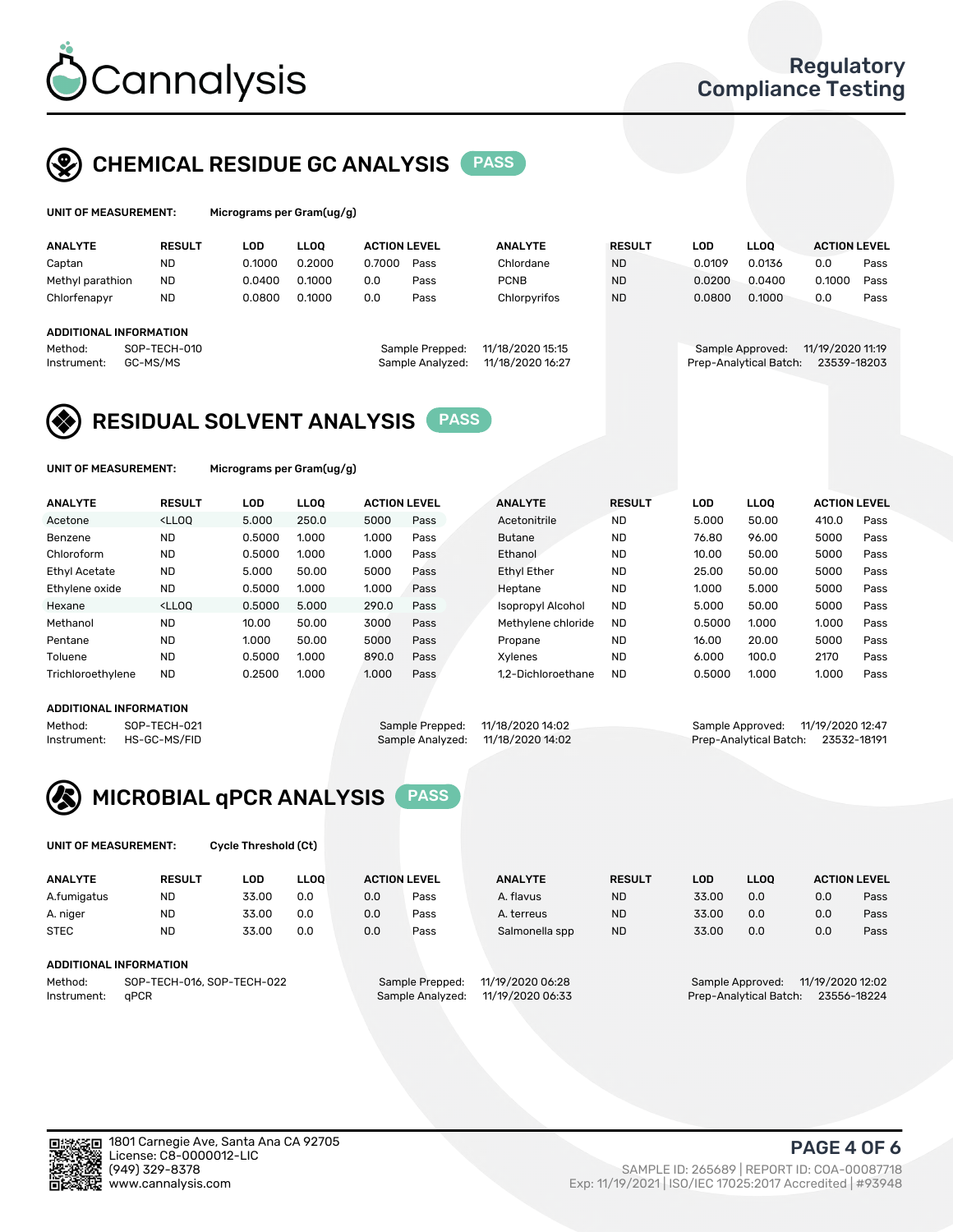

### CHEMICAL RESIDUE GC ANALYSIS PASS

| UNIT OF MEASUREMENT: |               | Micrograms per Gram $(uq/q)$ |             |                     |      |                |               |        |             |                     |      |
|----------------------|---------------|------------------------------|-------------|---------------------|------|----------------|---------------|--------|-------------|---------------------|------|
| <b>ANALYTE</b>       | <b>RESULT</b> | LOD                          | <b>LLOO</b> | <b>ACTION LEVEL</b> |      | <b>ANALYTE</b> | <b>RESULT</b> | LOD    | <b>LLOO</b> | <b>ACTION LEVEL</b> |      |
| Captan               | <b>ND</b>     | 0.1000                       | 0.2000      | 0.7000              | Pass | Chlordane      | <b>ND</b>     | 0.0109 | 0.0136      | 0.0                 | Pass |
| Methyl parathion     | <b>ND</b>     | 0.0400                       | 0.1000      | 0.0                 | Pass | <b>PCNB</b>    | <b>ND</b>     | 0.0200 | 0.0400      | 0.1000              | Pass |
| Chlorfenapyr         | <b>ND</b>     | 0.0800                       | 0.1000      | 0.0                 | Pass | Chlorpyrifos   | <b>ND</b>     | 0.0800 | 0.1000      | 0.0                 | Pass |

### ADDITIONAL INFORMATION

Method: SOP-TECH-010 Sample Prepped: 11/18/2020 15:15 Sample Approved: 11/19/2020 11:19 Instrument: GC-MS/MS Sample Analyzed: 11/18/2020 16:27 Prep-Analytical Batch: 23539-18203

| epped:  | 11/18/2020 15:15 |  |
|---------|------------------|--|
| alyzed: | 11/18/2020 16:27 |  |
|         |                  |  |

### RESIDUAL SOLVENT ANALYSIS **PASS**

UNIT OF MEASUREMENT: Micrograms per Gram(ug/g)

|                                                                                                                                   | Pass |
|-----------------------------------------------------------------------------------------------------------------------------------|------|
| 250.0<br><lloo<br>5.000<br/>5000<br/>50.00<br/><b>ND</b><br/>5.000<br/>Pass<br/>Acetonitrile<br/>410.0<br/>Acetone</lloo<br>      |      |
| <b>ND</b><br><b>ND</b><br>Benzene<br>0.5000<br>1.000<br>1.000<br>96.00<br>5000<br>76.80<br><b>Butane</b><br>Pass                  | Pass |
| Chloroform<br><b>ND</b><br><b>ND</b><br>1.000<br>50.00<br>5000<br>0.5000<br>1.000<br>Ethanol<br>10.00<br>Pass                     | Pass |
| <b>Ethyl Acetate</b><br><b>ND</b><br>5000<br><b>Ethyl Ether</b><br><b>ND</b><br>50.00<br>5000<br>50.00<br>25.00<br>5.000<br>Pass  | Pass |
| <b>ND</b><br>Ethylene oxide<br><b>ND</b><br>5.000<br>1.000<br>1.000<br>5000<br>0.5000<br>1.000<br>Heptane<br>Pass                 | Pass |
| Hexane<br><lloo<br>0.5000<br/>5.000<br/>290.0<br/><b>ND</b><br/>50.00<br/>5000<br/>Isopropyl Alcohol<br/>5.000<br/>Pass</lloo<br> | Pass |
| <b>ND</b><br>Methanol<br>10.00<br>50.00<br>3000<br><b>ND</b><br>0.5000<br>1.000<br>1.000<br>Methylene chloride<br>Pass            | Pass |
| Pentane<br><b>ND</b><br>20.00<br>5000<br>1.000<br>50.00<br>5000<br><b>ND</b><br>16.00<br>Pass<br>Propane                          | Pass |
| Toluene<br><b>ND</b><br><b>ND</b><br>0.5000<br>1.000<br>100.0<br>2170<br>890.0<br>6.000<br>Pass<br>Xvlenes                        | Pass |
| <b>ND</b><br>Trichloroethylene<br>0.2500<br>1.000<br>1.000<br>0.5000<br>1.000<br>1.000<br>1.2-Dichloroethane<br><b>ND</b><br>Pass | Pass |

#### ADDITIONAL INFORMATION

Method: SOP-TECH-021 Sample Prepped: 11/18/2020 14:02 Sample Approved: 11/19/2020 12:47<br>Instrument: HS-GC-MS/FID Sample Analyzed: 11/18/2020 14:02 Prep-Analytical Batch: 23532-18191

Prep-Analytical Batch: 23532-18191



UNIT OF MEASUREMENT: Cycle Threshold (Ct)

| <b>ANALYTE</b>                        | <b>RESULT</b> | LOD   | <b>LLOO</b> |                 | <b>ACTION LEVEL</b> | <b>ANALYTE</b>   | <b>RESULT</b> | <b>LOD</b>       | <b>LLOO</b>            |     | <b>ACTION LEVEL</b> |
|---------------------------------------|---------------|-------|-------------|-----------------|---------------------|------------------|---------------|------------------|------------------------|-----|---------------------|
| A.fumigatus                           | <b>ND</b>     | 33.00 | 0.0         | 0.0             | Pass                | A. flavus        | <b>ND</b>     | 33.00            | 0.0                    | 0.0 | Pass                |
| A. niger                              | <b>ND</b>     | 33.00 | 0.0         | 0.0             | Pass                | A. terreus       | <b>ND</b>     | 33.00            | 0.0                    | 0.0 | Pass                |
| <b>STEC</b>                           | <b>ND</b>     | 33.00 | 0.0         | 0.0             | Pass                | Salmonella spp   | <b>ND</b>     | 33.00            | 0.0                    | 0.0 | Pass                |
| ADDITIONAL INFORMATION                |               |       |             |                 |                     |                  |               |                  |                        |     |                     |
| SOP-TECH-016, SOP-TECH-022<br>Method: |               |       |             | Sample Prepped: | 11/19/2020 06:28    |                  |               | Sample Approved: | 11/19/2020 12:02       |     |                     |
| Instrument:                           | aPCR          |       |             |                 | Sample Analyzed:    | 11/19/2020 06:33 |               |                  | Prep-Analytical Batch: |     | 23556-18224         |

SAMPLE ID: 265689 | REPORT ID: COA-00087718 www.cannalysis.com Exp: 11/19/2021 | ISO/IEC 17025:2017 Accredited | #93948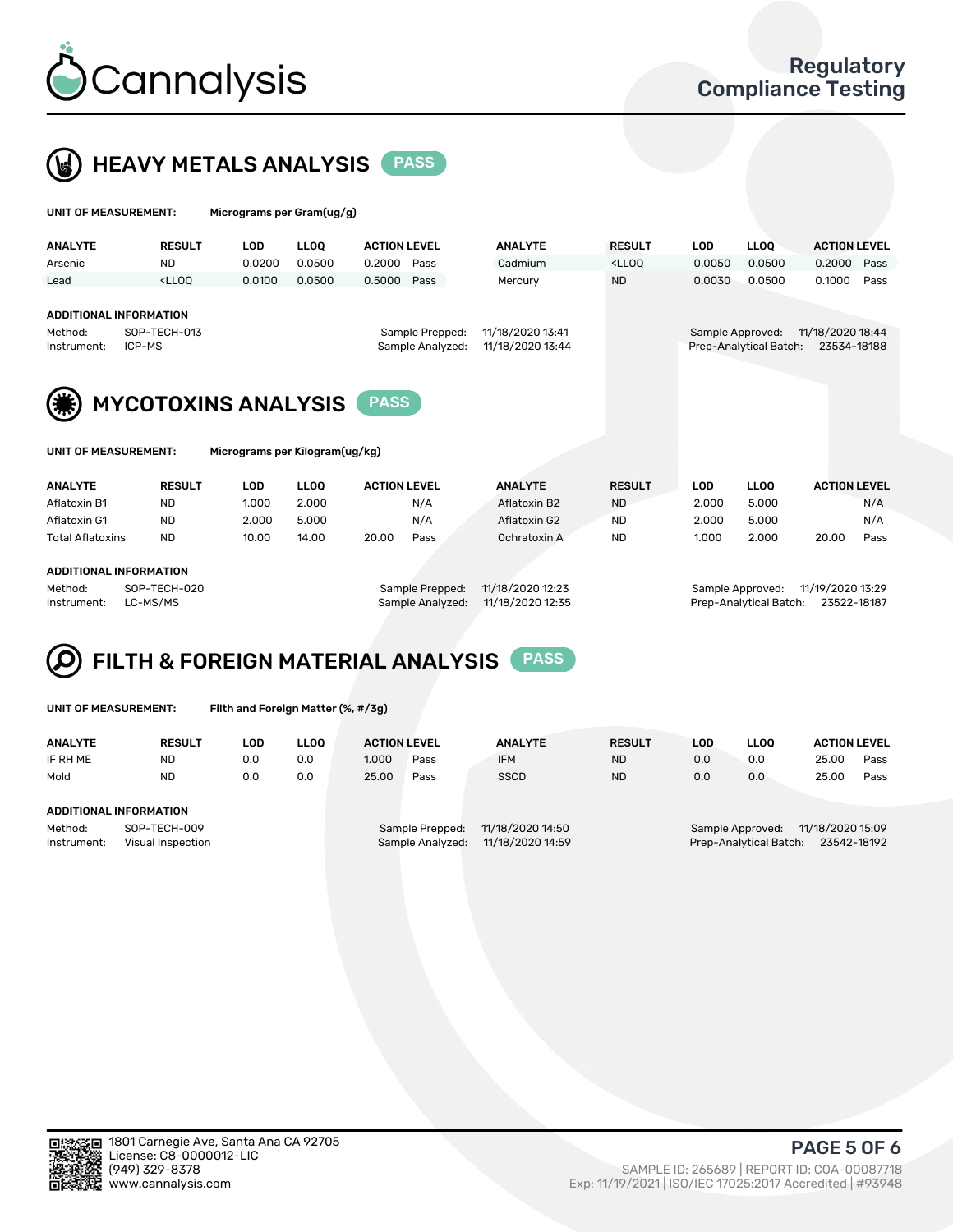



| UNIT OF MEASUREMENT:                                    |                                                                                                                                                                             | Micrograms per Gram(ug/g) |             |                     |                                     |                                      |               |                  |                        |                                 |      |
|---------------------------------------------------------|-----------------------------------------------------------------------------------------------------------------------------------------------------------------------------|---------------------------|-------------|---------------------|-------------------------------------|--------------------------------------|---------------|------------------|------------------------|---------------------------------|------|
| <b>ANALYTE</b>                                          | <b>RESULT</b>                                                                                                                                                               | <b>LOD</b>                | <b>LLOO</b> | <b>ACTION LEVEL</b> |                                     | <b>ANALYTE</b>                       | <b>RESULT</b> | <b>LOD</b>       | <b>LLOO</b>            | <b>ACTION LEVEL</b>             |      |
| Arsenic                                                 | <b>ND</b>                                                                                                                                                                   | 0.0200                    | 0.0500      | 0.2000              | Pass                                | Cadmium                              | $<$ LLOO      | 0.0050           | 0.0500                 | 0.2000                          | Pass |
| Lead                                                    | <lloo< td=""><td>0.0100</td><td>0.0500</td><td>0.5000</td><td>Pass</td><td>Mercury</td><td><b>ND</b></td><td>0.0030</td><td>0.0500</td><td>0.1000</td><td>Pass</td></lloo<> | 0.0100                    | 0.0500      | 0.5000              | Pass                                | Mercury                              | <b>ND</b>     | 0.0030           | 0.0500                 | 0.1000                          | Pass |
| <b>ADDITIONAL INFORMATION</b><br>Method:<br>Instrument: | SOP-TECH-013<br>ICP-MS                                                                                                                                                      |                           |             |                     | Sample Prepped:<br>Sample Analyzed: | 11/18/2020 13:41<br>11/18/2020 13:44 |               | Sample Approved: | Prep-Analytical Batch: | 11/18/2020 18:44<br>23534-18188 |      |
| (美)                                                     | <b>MYCOTOXINS ANALYSIS</b>                                                                                                                                                  |                           |             |                     |                                     |                                      |               |                  |                        |                                 |      |

| <b>INIT OF MEASHDEMENT</b> |  |  |  |
|----------------------------|--|--|--|

UNIT OF MEASUREMENT: Micrograms per Kilogram(ug/kg)

| <b>ANALYTE</b>          | <b>RESULT</b> | LOD   | <b>LLOO</b> | <b>ACTION LEVEL</b> |      | <b>ANALYTE</b> | <b>RESULT</b> | LOD   | <b>LLOO</b> |       | <b>ACTION LEVEL</b> |
|-------------------------|---------------|-------|-------------|---------------------|------|----------------|---------------|-------|-------------|-------|---------------------|
| Aflatoxin B1            | <b>ND</b>     | 1.000 | 2.000       |                     | N/A  | Aflatoxin B2   | <b>ND</b>     | 2.000 | 5.000       |       | N/A                 |
| Aflatoxin G1            | <b>ND</b>     | 2.000 | 5.000       |                     | N/A  | Aflatoxin G2   | <b>ND</b>     | 2.000 | 5.000       |       | N/A                 |
| <b>Total Aflatoxins</b> | <b>ND</b>     | 10.00 | 14.00       | 20.00               | Pass | Ochratoxin A   | <b>ND</b>     | 1.000 | 2.000       | 20.00 | Pass                |
|                         |               |       |             |                     |      |                |               |       |             |       |                     |
| ADDITIONAL INFORMATION  |               |       |             |                     |      |                |               |       |             |       |                     |

Method: SOP-TECH-020 Sample Prepped: 11/18/2020 12:23 Sample Approved: 11/19/2020 13:29 Instrument: LC-MS/MS Sample Analyzed: 11/18/2020 12:35 Prep-Analytical Batch: 23522-18187

# FILTH & FOREIGN MATERIAL ANALYSIS PASS

UNIT OF MEASUREMENT: Filth and Foreign Matter (%, #/3g)

| <b>ANALYTE</b>                                              | <b>RESULT</b> | LOD | <b>LLOO</b> | <b>ACTION LEVEL</b>                 |                                      | <b>ANALYTE</b> | <b>RESULT</b> | LOD                                        | <b>LLOO</b>                     | <b>ACTION LEVEL</b> |      |
|-------------------------------------------------------------|---------------|-----|-------------|-------------------------------------|--------------------------------------|----------------|---------------|--------------------------------------------|---------------------------------|---------------------|------|
| IF RH ME                                                    | <b>ND</b>     | 0.0 | 0.0         | 1.000                               | Pass                                 | <b>IFM</b>     | <b>ND</b>     | 0.0                                        | 0.0                             | 25.00               | Pass |
| Mold                                                        | <b>ND</b>     | 0.0 | 0.0         | 25.00                               | Pass                                 | <b>SSCD</b>    | <b>ND</b>     | 0.0                                        | 0.0                             | 25.00               | Pass |
| <b>ADDITIONAL INFORMATION</b>                               |               |     |             |                                     |                                      |                |               |                                            |                                 |                     |      |
| SOP-TECH-009<br>Method:<br>Instrument:<br>Visual Inspection |               |     |             | Sample Prepped:<br>Sample Analyzed: | 11/18/2020 14:50<br>11/18/2020 14:59 |                |               | Sample Approved:<br>Prep-Analytical Batch: | 11/18/2020 15:09<br>23542-18192 |                     |      |



PAGE 5 OF 6